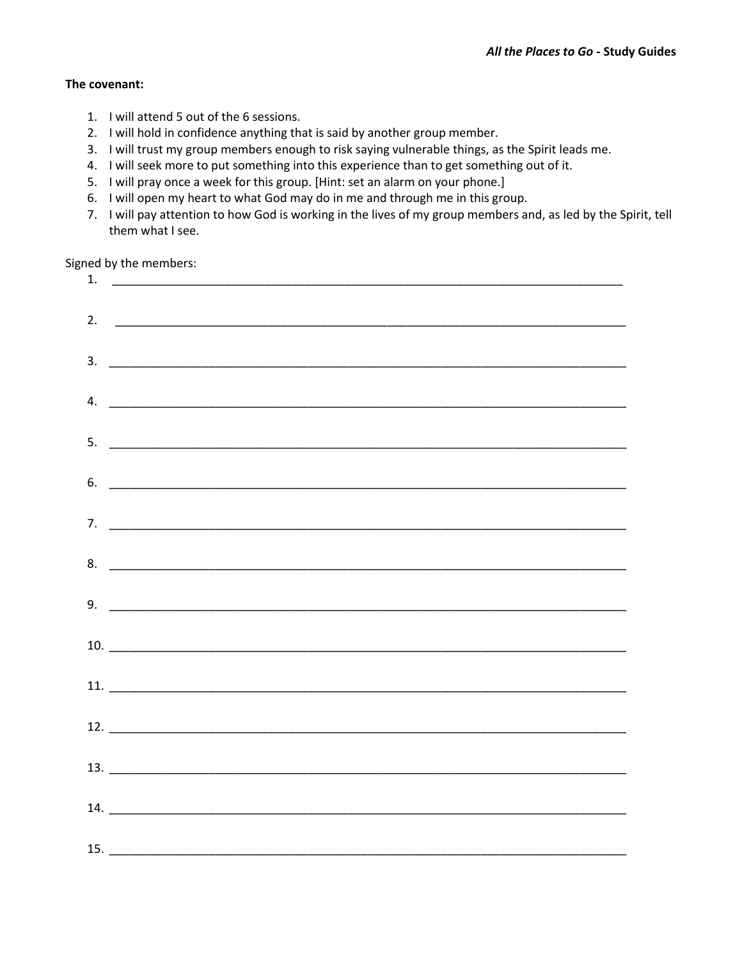#### **The covenant:**

- 1. I will attend 5 out of the 6 sessions.
- 2. I will hold in confidence anything that is said by another group member.
- 3. I will trust my group members enough to risk saying vulnerable things, as the Spirit leads me.
- 4. I will seek more to put something into this experience than to get something out of it.
- 5. I will pray once a week for this group. [Hint: set an alarm on your phone.]
- 6. I will open my heart to what God may do in me and through me in this group.
- 7. I will pay attention to how God is working in the lives of my group members and, as led by the Spirit, tell them what I see.

Signed by the members:

| $5.$ $\overline{\phantom{a}}$  |  |  |
|--------------------------------|--|--|
| $6.$ $\overline{\phantom{a}}$  |  |  |
|                                |  |  |
|                                |  |  |
| $9.$ $\overline{\phantom{a}}$  |  |  |
|                                |  |  |
| $10.$ $\overline{\phantom{a}}$ |  |  |
|                                |  |  |
|                                |  |  |
|                                |  |  |
|                                |  |  |
|                                |  |  |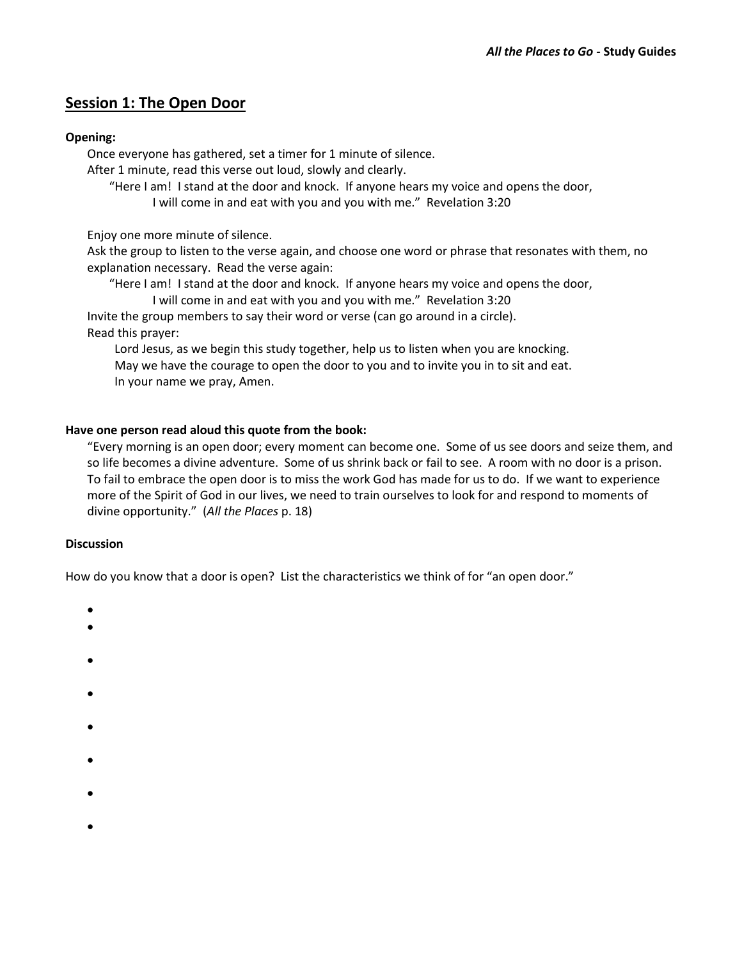# **Session 1: The Open Door**

### **Opening:**

Once everyone has gathered, set a timer for 1 minute of silence.

After 1 minute, read this verse out loud, slowly and clearly.

"Here I am! I stand at the door and knock. If anyone hears my voice and opens the door, I will come in and eat with you and you with me." Revelation 3:20

Enjoy one more minute of silence.

Ask the group to listen to the verse again, and choose one word or phrase that resonates with them, no explanation necessary. Read the verse again:

"Here I am! I stand at the door and knock. If anyone hears my voice and opens the door,

I will come in and eat with you and you with me." Revelation 3:20 Invite the group members to say their word or verse (can go around in a circle). Read this prayer:

Lord Jesus, as we begin this study together, help us to listen when you are knocking. May we have the courage to open the door to you and to invite you in to sit and eat. In your name we pray, Amen.

## **Have one person read aloud this quote from the book:**

"Every morning is an open door; every moment can become one. Some of us see doors and seize them, and so life becomes a divine adventure. Some of us shrink back or fail to see. A room with no door is a prison. To fail to embrace the open door is to miss the work God has made for us to do. If we want to experience more of the Spirit of God in our lives, we need to train ourselves to look for and respond to moments of divine opportunity." (*All the Places* p. 18)

### **Discussion**

How do you know that a door is open? List the characteristics we think of for "an open door."

- $\bullet$
- $\bullet$
- 
- $\bullet$
- $\bullet$
- $\bullet$
- 
- $\bullet$
- 
- $\bullet$
- $\bullet$